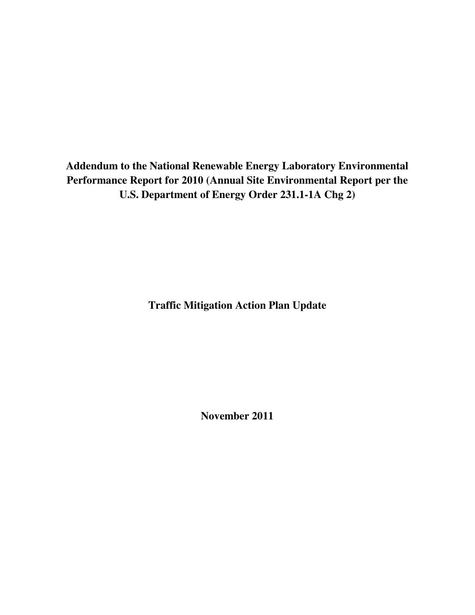**Addendum to the National Renewable Energy Laboratory Environmental Performance Report for 2010 (Annual Site Environmental Report per the U.S. Department of Energy Order 231.1-1A Chg 2)** 

**Traffic Mitigation Action Plan Update** 

**November 2011**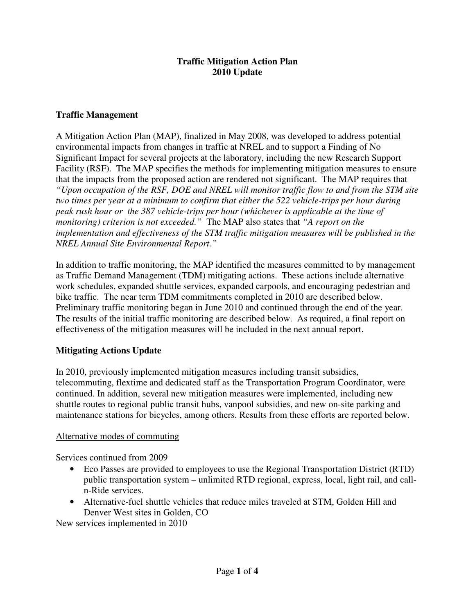#### **Traffic Mitigation Action Plan 2010 Update**

## **Traffic Management**

A Mitigation Action Plan (MAP), finalized in May 2008, was developed to address potential environmental impacts from changes in traffic at NREL and to support a Finding of No Significant Impact for several projects at the laboratory, including the new Research Support Facility (RSF). The MAP specifies the methods for implementing mitigation measures to ensure that the impacts from the proposed action are rendered not significant. The MAP requires that *"Upon occupation of the RSF, DOE and NREL will monitor traffic flow to and from the STM site two times per year at a minimum to confirm that either the 522 vehicle-trips per hour during peak rush hour or the 387 vehicle-trips per hour (whichever is applicable at the time of monitoring) criterion is not exceeded."* The MAP also states that *"A report on the implementation and effectiveness of the STM traffic mitigation measures will be published in the NREL Annual Site Environmental Report."*

In addition to traffic monitoring, the MAP identified the measures committed to by management as Traffic Demand Management (TDM) mitigating actions. These actions include alternative work schedules, expanded shuttle services, expanded carpools, and encouraging pedestrian and bike traffic. The near term TDM commitments completed in 2010 are described below. Preliminary traffic monitoring began in June 2010 and continued through the end of the year. The results of the initial traffic monitoring are described below. As required, a final report on effectiveness of the mitigation measures will be included in the next annual report.

#### **Mitigating Actions Update**

In 2010, previously implemented mitigation measures including transit subsidies, telecommuting, flextime and dedicated staff as the Transportation Program Coordinator, were continued. In addition, several new mitigation measures were implemented, including new shuttle routes to regional public transit hubs, vanpool subsidies, and new on-site parking and maintenance stations for bicycles, among others. Results from these efforts are reported below.

#### Alternative modes of commuting

Services continued from 2009

- Eco Passes are provided to employees to use the Regional Transportation District (RTD) public transportation system – unlimited RTD regional, express, local, light rail, and calln-Ride services.
- Alternative-fuel shuttle vehicles that reduce miles traveled at STM, Golden Hill and Denver West sites in Golden, CO

New services implemented in 2010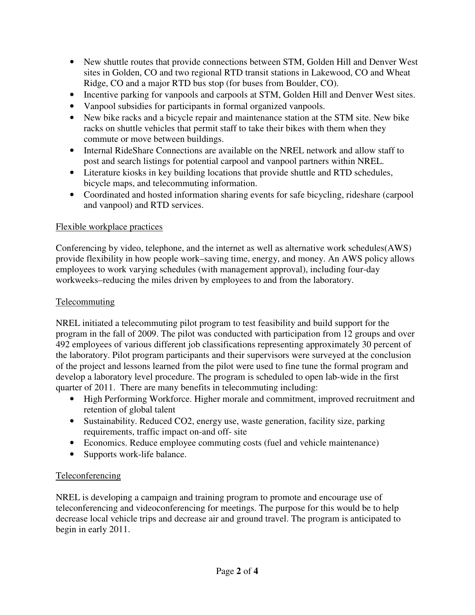- New shuttle routes that provide connections between STM, Golden Hill and Denver West sites in Golden, CO and two regional RTD transit stations in Lakewood, CO and Wheat Ridge, CO and a major RTD bus stop (for buses from Boulder, CO).
- Incentive parking for vanpools and carpools at STM, Golden Hill and Denver West sites.
- Vanpool subsidies for participants in formal organized vanpools.
- New bike racks and a bicycle repair and maintenance station at the STM site. New bike racks on shuttle vehicles that permit staff to take their bikes with them when they commute or move between buildings.
- Internal RideShare Connections are available on the NREL network and allow staff to post and search listings for potential carpool and vanpool partners within NREL.
- Literature kiosks in key building locations that provide shuttle and RTD schedules, bicycle maps, and telecommuting information.
- Coordinated and hosted information sharing events for safe bicycling, rideshare (carpool and vanpool) and RTD services.

### Flexible workplace practices

Conferencing by video, telephone, and the internet as well as alternative work schedules(AWS) provide flexibility in how people work–saving time, energy, and money. An AWS policy allows employees to work varying schedules (with management approval), including four-day workweeks–reducing the miles driven by employees to and from the laboratory.

### Telecommuting

NREL initiated a telecommuting pilot program to test feasibility and build support for the program in the fall of 2009. The pilot was conducted with participation from 12 groups and over 492 employees of various different job classifications representing approximately 30 percent of the laboratory. Pilot program participants and their supervisors were surveyed at the conclusion of the project and lessons learned from the pilot were used to fine tune the formal program and develop a laboratory level procedure. The program is scheduled to open lab-wide in the first quarter of 2011. There are many benefits in telecommuting including:

- High Performing Workforce. Higher morale and commitment, improved recruitment and retention of global talent
- Sustainability. Reduced CO2, energy use, waste generation, facility size, parking requirements, traffic impact on-and off- site
- Economics. Reduce employee commuting costs (fuel and vehicle maintenance)
- Supports work-life balance.

# Teleconferencing

NREL is developing a campaign and training program to promote and encourage use of teleconferencing and videoconferencing for meetings. The purpose for this would be to help decrease local vehicle trips and decrease air and ground travel. The program is anticipated to begin in early 2011.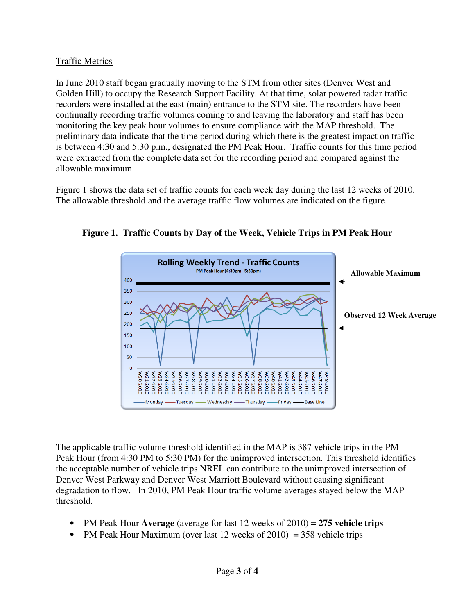### Traffic Metrics

In June 2010 staff began gradually moving to the STM from other sites (Denver West and Golden Hill) to occupy the Research Support Facility. At that time, solar powered radar traffic recorders were installed at the east (main) entrance to the STM site. The recorders have been continually recording traffic volumes coming to and leaving the laboratory and staff has been monitoring the key peak hour volumes to ensure compliance with the MAP threshold. The preliminary data indicate that the time period during which there is the greatest impact on traffic is between 4:30 and 5:30 p.m., designated the PM Peak Hour. Traffic counts for this time period were extracted from the complete data set for the recording period and compared against the allowable maximum.

Figure 1 shows the data set of traffic counts for each week day during the last 12 weeks of 2010. The allowable threshold and the average traffic flow volumes are indicated on the figure.



**Figure 1. Traffic Counts by Day of the Week, Vehicle Trips in PM Peak Hour** 

The applicable traffic volume threshold identified in the MAP is 387 vehicle trips in the PM Peak Hour (from 4:30 PM to 5:30 PM) for the unimproved intersection. This threshold identifies the acceptable number of vehicle trips NREL can contribute to the unimproved intersection of Denver West Parkway and Denver West Marriott Boulevard without causing significant degradation to flow. In 2010, PM Peak Hour traffic volume averages stayed below the MAP threshold.

- PM Peak Hour **Average** (average for last 12 weeks of 2010) = **275 vehicle trips**
- PM Peak Hour Maximum (over last 12 weeks of 2010) = 358 vehicle trips